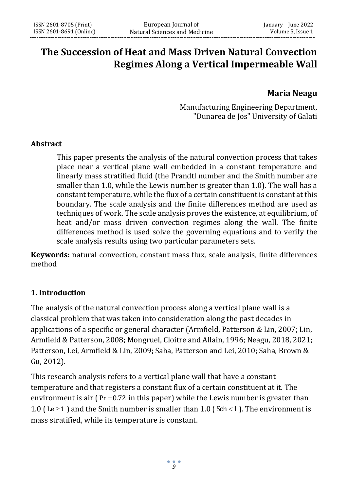# **The Succession of Heat and Mass Driven Natural Convection Regimes Along a Vertical Impermeable Wall**

# **Maria Neagu**

Manufacturing Engineering Department, "Dunarea de Jos" University of Galati

### **Abstract**

This paper presents the analysis of the natural convection process that takes place near a vertical plane wall embedded in a constant temperature and linearly mass stratified fluid (the Prandtl number and the Smith number are smaller than 1.0, while the Lewis number is greater than 1.0). The wall has a constant temperature, while the flux of a certain constituent is constant at this boundary. The scale analysis and the finite differences method are used as techniques of work. The scale analysis proves the existence, at equilibrium, of heat and/or mass driven convection regimes along the wall. The finite differences method is used solve the governing equations and to verify the scale analysis results using two particular parameters sets.

**Keywords:** natural convection, constant mass flux, scale analysis, finite differences method

# **1. Introduction**

The analysis of the natural convection process along a vertical plane wall is a classical problem that was taken into consideration along the past decades in applications of a specific or general character (Armfield, Patterson & Lin, 2007; Lin, Armfield & Patterson, 2008; Mongruel, Cloitre and Allain, 1996; Neagu, 2018, 2021; Patterson, Lei, Armfield & Lin, 2009; Saha, Patterson and Lei, 2010; Saha, Brown & Gu, 2012).

This research analysis refers to a vertical plane wall that have a constant temperature and that registers a constant flux of a certain constituent at it. The environment is air  $(Pr=0.72$  in this paper) while the Lewis number is greater than 1.0 (Le  $\geq$  1) and the Smith number is smaller than 1.0 (Sch < 1). The environment is mass stratified, while its temperature is constant.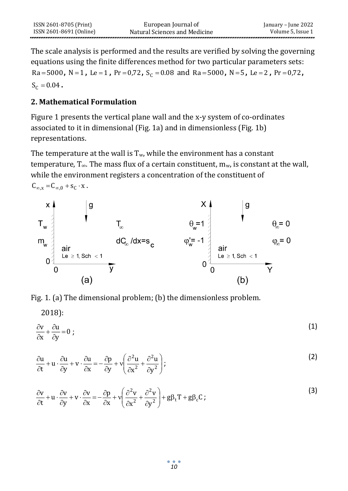The scale analysis is performed and the results are verified by solving the governing equations using the finite differences method for two particular parameters sets: Ra=5000, N=1, Le=1, Pr=0,72, S<sub>C</sub> = 0.08 and Ra=5000, N=5, Le=2, Pr=0,72,  $S_c = 0.04$ .

# **2. Mathematical Formulation**

2018):

Figure 1 presents the vertical plane wall and the x-y system of co-ordinates associated to it in dimensional (Fig. 1a) and in dimensionless (Fig. 1b) representations.

The temperature at the wall is  $T_w$ , while the environment has a constant temperature,  $T_{\infty}$ . The mass flux of a certain constituent,  $m_{w}$ , is constant at the wall, while the environment registers a concentration of the constituent of  $C_{\infty, x} = C_{\infty, 0} + s_C \cdot x$ .



Fig. 1. (a) The dimensional problem; (b) the dimensionless problem.

$$
\frac{\partial v}{\partial x} + \frac{\partial u}{\partial y} = 0 \tag{1}
$$

$$
\frac{\partial u}{\partial t} + u \cdot \frac{\partial u}{\partial y} + v \cdot \frac{\partial u}{\partial x} = -\frac{\partial p}{\partial y} + v \left( \frac{\partial^2 u}{\partial x^2} + \frac{\partial^2 u}{\partial y^2} \right);
$$
\n(2)

$$
\frac{\partial v}{\partial t} + u \cdot \frac{\partial v}{\partial y} + v \cdot \frac{\partial v}{\partial x} = -\frac{\partial p}{\partial x} + v \left( \frac{\partial^2 v}{\partial x^2} + \frac{\partial^2 v}{\partial y^2} \right) + g \beta_t T + g \beta_c C ;
$$
\n(3)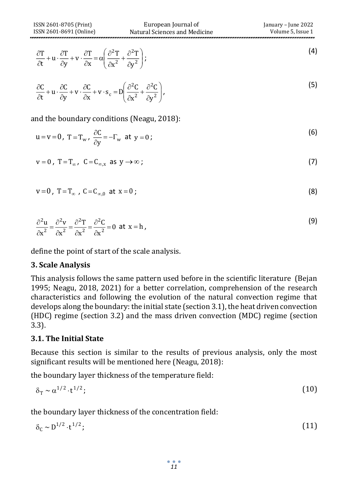$$
\frac{\partial T}{\partial t} + u \cdot \frac{\partial T}{\partial y} + v \cdot \frac{\partial T}{\partial x} = \alpha \left( \frac{\partial^2 T}{\partial x^2} + \frac{\partial^2 T}{\partial y^2} \right);
$$
\n(4)

$$
\frac{\partial C}{\partial t} + u \cdot \frac{\partial C}{\partial y} + v \cdot \frac{\partial C}{\partial x} + v \cdot s_c = D \left( \frac{\partial^2 C}{\partial x^2} + \frac{\partial^2 C}{\partial y^2} \right),
$$
\n(5)

and the boundary conditions (Neagu, 2018):

$$
u = v = 0, T = T_w, \frac{\partial C}{\partial y} = -\Gamma_w \text{ at } y = 0;
$$
 (6)

$$
v = 0, T = T_{\infty}, C = C_{\infty, x} \text{ as } y \to \infty;
$$
 (7)

$$
v=0
$$
,  $T=T_{\infty}$ ,  $C=C_{\infty,0}$  at  $x=0$ ; (8)

$$
\frac{\partial^2 \mathbf{u}}{\partial \mathbf{x}^2} = \frac{\partial^2 \mathbf{v}}{\partial \mathbf{x}^2} = \frac{\partial^2 \mathbf{T}}{\partial \mathbf{x}^2} = \frac{\partial^2 \mathbf{C}}{\partial \mathbf{x}^2} = 0 \text{ at } \mathbf{x} = \mathbf{h},
$$
\n(9)

define the point of start of the scale analysis.

#### **3. Scale Analysis**

 $\left(\frac{\partial^2 C}{\partial y^2}\right)$ ,  $\frac{\partial^2 C}{\partial y^2}$ ,  $\frac{\partial^2 C}{\partial y^2}$ ,  $\frac{\partial^2 C}{\partial y^2}$ ,  $\frac{\partial^2 C}{\partial y^2}$ ,  $\frac{\partial^2 C}{\partial x \partial y \partial y}$ ,  $\frac{\partial^2 C}{\partial y \partial y \partial y \partial z}$ ,  $\frac{\partial^2 C}{\partial y \partial y \partial z}$ ,  $\frac{\partial^2 C}{\partial y \partial y \partial y \partial z}$ ,  $\frac{\partial^2 C}{\partial y \partial y \partial y \partial z}$ ,  $\frac{\partial^2 C$ This analysis follows the same pattern used before in the scientific literature (Bejan 1995; Neagu, 2018, 2021) for a better correlation, comprehension of the research characteristics and following the evolution of the natural convection regime that develops along the boundary: the initial state (section 3.1), the heat driven convection (HDC) regime (section 3.2) and the mass driven convection (MDC) regime (section 3.3).

#### **3.1. The Initial State**

Because this section is similar to the results of previous analysis, only the most significant results will be mentioned here (Neagu, 2018):

the boundary layer thickness of the temperature field:

$$
\delta_{\rm T} \sim \alpha^{1/2} \cdot {\rm t}^{1/2};\tag{10}
$$

the boundary layer thickness of the concentration field:

$$
\delta_{\rm c} \sim D^{1/2} \cdot \mathbf{t}^{1/2};\tag{11}
$$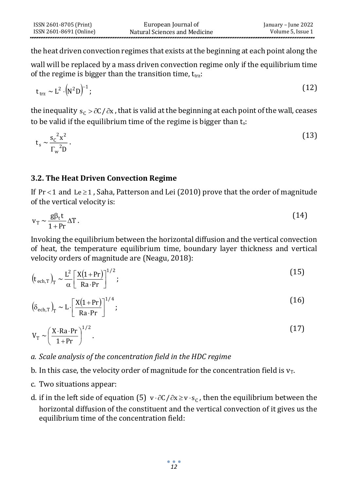the heat driven convection regimes that exists at the beginning at each point along the

wall will be replaced by a mass driven convection regime only if the equilibrium time of the regime is bigger than the transition time,  $t_{trz}$ :

$$
t_{\text{trz}} \sim L^2 \cdot (N^2 D)^{-1};\tag{12}
$$

the inequality  $s_{\rm C}$  >  $\partial$ C /  $\partial$ x , that is valid at the beginning at each point of the wall, ceases to be valid if the equilibrium time of the regime is bigger than  $t_s$ :

$$
t_s \sim \frac{s_c^2 x^2}{\Gamma_w^2 D}.
$$
\n(13)

# **3.2. The Heat Driven Convection Regime**

If  $Pr < 1$  and  $Le \ge 1$ , Saha, Patterson and Lei (2010) prove that the order of magnitude of the vertical velocity is:

$$
v_T \sim \frac{g\beta_t t}{1 + Pr} \Delta T.
$$
 (14)

Invoking the equilibrium between the horizontal diffusion and the vertical convection of heat, the temperature equilibrium time, boundary layer thickness and vertical velocity orders of magnitude are (Neagu, 2018):

$$
\left(\mathbf{t}_{\text{ech,T}}\right)_{\text{T}} \sim \frac{\mathbf{L}^2}{\alpha} \left[\frac{\mathbf{X}(1+\text{Pr})}{\text{Ra}\cdot\text{Pr}}\right]^{1/2};
$$
\n(15)

$$
\left(\delta_{\text{ech},T}\right)_T \sim L \cdot \left[\frac{X(1+Pr)}{Ra \cdot Pr}\right]^{1/4};\tag{16}
$$

$$
V_T \sim \left(\frac{X \cdot Ra \cdot Pr}{1 + Pr}\right)^{1/2}.
$$
 (17)

# *a. Scale analysis of the concentration field in the HDC regime*

- b. In this case, the velocity order of magnitude for the concentration field is  $v_T$ .
- c. Two situations appear:
- d. if in the left side of equation (5)  $v \cdot \partial C / \partial x \ge v \cdot s_C$ , then the equilibrium between the horizontal diffusion of the constituent and the vertical convection of it gives us the equilibrium time of the concentration field: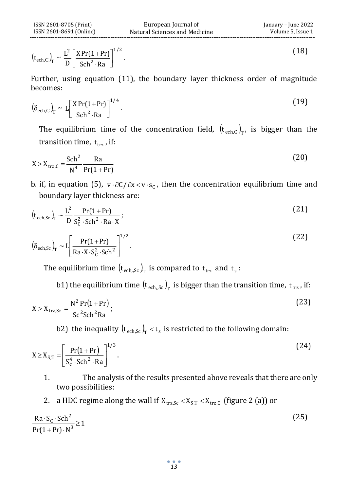(18)

$$
\left(t_{\rm ech,C}\right)_{\rm T} \sim \frac{L^2}{D} \left[ \frac{X \Pr(1+Pr)}{\text{Sch}^2 \cdot \text{Ra}} \right]^{1/2}.
$$

Further, using equation (11), the boundary layer thickness order of magnitude becomes:

$$
\left(\delta_{\text{ech},C}\right)_{\Gamma} \sim L\left[\frac{X \Pr(1+\Pr)}{\text{Sch}^2 \cdot \text{Ra}}\right]^{1/4}.
$$

The equilibrium time of the concentration field,  $(t_{ech,C})_T$ , is bigger than the transition time,  $t_{trz}$  , if:

$$
X > Xtrz,C = \frac{Sch^2}{N^4} \frac{Ra}{Pr(1+Pr)}
$$
 (20)

b. if, in equation (5),  $v \cdot \partial C / \partial x < v \cdot s_C$ , then the concentration equilibrium time and boundary layer thickness are:

$$
\left(\mathbf{t}_{\text{ech,Sc}}\right)_{\text{T}} \sim \frac{\mathbf{L}^2}{\mathbf{D}} \frac{\text{Pr}(1 + \text{Pr})}{\mathbf{S}_\text{C}^2 \cdot \text{Sch}^2 \cdot \text{Ra} \cdot \mathbf{X}}; \tag{21}
$$

$$
(t_{\text{ech},C})_{\text{T}} \sim \frac{L}{D} \left[ \frac{X \Pr(1+Pr)}{\text{Sch}^2 \cdot \text{Ra}} \right]
$$
\n
$$
(1-1)
$$
\n
$$
(\delta_{\text{ech},C})_{\text{T}} \sim \left[ \frac{X \Pr(1+Pr)}{\text{Sch}^2 \cdot \text{Ra}} \right]^{1/4}.
$$
\n
$$
(1-1)
$$
\nThe equilibrium time of the concentration field,  $(t_{\text{ech},C})_{\text{T}}$ , is bigger than t transition time,  $t_{\text{trz}}$ , if:  
\n $X > X_{\text{trz},C} = \frac{\text{Sch}^2}{N^4} \frac{\text{Ra}}{\text{Pr}(1+Pr)}$   
\nb. if, in equation (5),  $v \cdot \partial C / \partial x < v \cdot s_C$ , then the concentration equilibrium time a boundary layer thickness are:  
\n $(t_{\text{ech},Sc})_{\text{T}} \sim \frac{L^2}{D} \frac{\text{Pr}(1+Pr)}{S_C^2 \cdot \text{Sch}^2 \cdot \text{Ra} \cdot X};$ \n
$$
(3-1)
$$
\n
$$
(3-1)
$$
\n
$$
(3-1)
$$
\nThe equilibrium time  $(t_{\text{ech},Sc})_{\text{T}}$  is compared to  $t_{\text{trz}}$  and  $t_s$ :  
\nb1) the equilibrium time  $(t_{\text{ech},Sc})_{\text{T}}$  is bigger than the transition time,  $t_{\text{trz}}$ , if  
\n $X > X_{\text{trz},Sc} = \frac{N^2 \Pr(1+Pr)}{Sc^2 \cdot \text{Sch}^2 \cdot \text{Ra}};$ \n
$$
(23)
$$
\n
$$
X > X_{\text{trz},Sc} = \frac{N^2 \Pr(1+Pr)}{Sc^2 \cdot \text{Sch}^2 \cdot \text{Ra}};
$$
\n
$$
23
$$
\n
$$
23
$$
\n
$$
24
$$
\n
$$
24
$$
\n
$$
25
$$
\n
$$
28
$$
\n
$$
27
$$
\n
$$
28
$$
\n
$$
27
$$
\n
$$
28
$$
\n
$$
27
$$
\n
$$
28
$$
\n<math display="</math>

The equilibrium time  $\left(\bm{{\mathfrak{t}}}_{\text{ech},\text{Sc}}\right)_\text{T}$  is compared to  $\bm{{\mathfrak{t}}}_{\text{trz}}$  and  $\bm{{\mathfrak{t}}}_{\text{s}}$  :

b1) the equilibrium time  $\left(\bm{{\rm t}}_{\rm ech,Sc}\right)_{\rm T}$  is bigger than the transition time,  $\bm{{\rm t}}_{\rm trz}$  , if:

$$
X > X_{\text{trz,Sc}} = \frac{N^2 \Pr(1 + \Pr)}{Sc^2 Sch^2 Ra};
$$
\n(23)

b2) the inequality  $\left(\bm{{\mathsf{t}}}_{\text{ech,Sc}}\right)_{\!\mathrm{T}} < \bm{{\mathsf{t}}}_{\,\mathrm{s}}$  is restricted to the following domain:

$$
X \ge X_{S,T} = \left[ \frac{\Pr(1 + \Pr)}{S_c^4 \cdot \text{Sch}^2 \cdot \text{Ra}} \right]^{1/3}.
$$
 (24)

1. The analysis of the results presented above reveals that there are only two possibilities:

2. a HDC regime along the wall if  $X_{trz,Sc} < X_{S,T} < X_{trz,C}$  (figure 2 (a)) or

$$
\frac{\text{Ra} \cdot \text{Sc} \cdot \text{Sch}^2}{\text{Pr}(1 + \text{Pr}) \cdot \text{N}^3} \ge 1
$$
\n(25)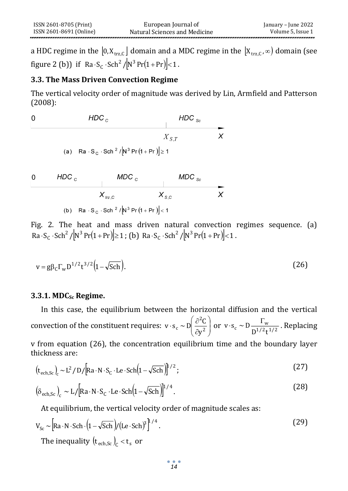a HDC regime in the  $[0, \mathrm{X_{trz,C}}]$  domain and a MDC regime in the  $[\mathrm{X_{trz,C}}, \infty)$  domain (see figure 2 (b)) if  $Ra \cdot S_C \cdot Sch^2/[N^3 Pr(1+Pr)] < 1$ .

# **3.3. The Mass Driven Convection Regime**

The vertical velocity order of magnitude was derived by Lin, Armfield and Patterson (2008):

0 
$$
HDC_c
$$
  $HDC_{sc}$   
\n $X_{S,T}$   $X$   
\n(a)  $Ra \cdot S_c \cdot Sch^2 / [N^3 Pr(1+Pr)] \ge 1$ 

0  $HDC_c$   $MDC_c$   $MDC_{sc}$ <br> $X_{trz,C}$   $X_{s,C}$   $X$ (b) Ra  $\cdot$  S<sub>C</sub>  $\cdot$  Sch<sup>2</sup> / N<sup>3</sup> Pr (1 + Pr)  $|$  < 1

Fig. 2. The heat and mass driven natural convection regimes sequence. (a)  $\overline{Ra} \cdot S_C \cdot \text{Sch}^2 / \left[ N^3 \Pr(1 + \Pr) \right] \ge 1$ ; (b)  $\overline{Ra} \cdot S_C \cdot \text{Sch}^2 / \left[ N^3 \Pr(1 + \Pr) \right] < 1$ .

$$
v = g\beta_c \Gamma_w D^{1/2} t^{3/2} \left(1 - \sqrt{Sch}\right).
$$
 (26)

#### **3.3.1. MDCSc Regime.**

In this case, the equilibrium between the horizontal diffusion and the vertical convection of the constituent requires: ╎ ╎ J  $\backslash$  $\overline{\phantom{a}}$ L ſ д  $\cdot$  s<sub>c</sub> ~ D  $\frac{\partial^2 C}{\partial z^2}$ 2 c  $\partial$  $v \cdot s_c \sim D \left( \frac{\partial^2 C}{\partial v^2} \right)$  or  $v \cdot s_c \sim D \frac{\Gamma_w}{D^{1/2} t^{1/2}}$  $v \cdot s_c \sim D \frac{\Gamma_w}{\Gamma^2 \Gamma^2 \Gamma^2}$ . Replacing

v from equation (26), the concentration equilibrium time and the boundary layer thickness are:

$$
\left(\mathbf{t}_{\text{ech,Sc}}\right)_{\text{c}} \sim L^2 / \text{D} / \left[\text{Ra} \cdot \text{N} \cdot \text{S}_{\text{c}} \cdot \text{Le} \cdot \text{Sch} \left(1 - \sqrt{\text{Sch}}\right)\right]^{1/2};\tag{27}
$$

$$
\left(\delta_{\text{ech,Sc}}\right)_{\text{c}} \sim L/[Ra \cdot N \cdot S_{\text{c}} \cdot \text{Le} \cdot \text{Sch}\left(1 - \sqrt{\text{Sch}}\right)]^{1/4}.
$$
 (28)

At equilibrium, the vertical velocity order of magnitude scales as:

$$
V_{Sc} \sim \left[ Ra \cdot N \cdot Sch \cdot (1 - \sqrt{Sch}) / (Le \cdot Sch)^{3} \right]^{1/4}.
$$
\n
$$
V_{Sc} \sim \left[ Ra \cdot N \cdot Sch \cdot (1 - \sqrt{Sch}) / (Le \cdot Sch)^{3} \right]^{1/4}.
$$
\n
$$
(29)
$$
\n
$$
V_{Sc} \sim \left[ Ra \cdot N \cdot Sch \cdot (1 - \sqrt{Sch}) / (Le \cdot Sch)^{3} \right]^{1/4}.
$$

*14*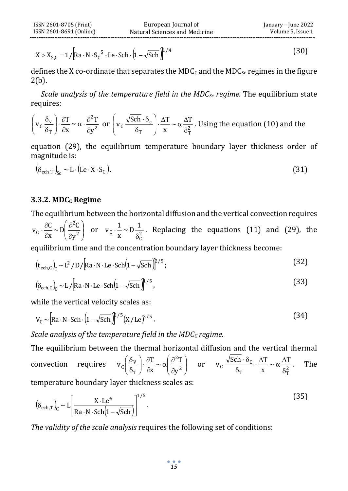$$
X > X_{S,C} = 1/[Ra \cdot N \cdot S_C^5 \cdot Le \cdot Sch \cdot (1 - \sqrt{Sch})]^{1/4}
$$
 (30)

defines the X co-ordinate that separates the  $MDC_C$  and the  $MDC_{Sc}$  regimes in the figure 2(b).

*Scale analysis of the temperature field in the MDCSc regime.* The equilibrium state requires:

$$
\left(v_c \frac{\delta_v}{\delta_T}\right) \cdot \frac{\partial T}{\partial x} \sim \alpha \cdot \frac{\partial^2 T}{\partial y^2}
$$
 or 
$$
\left(v_c \frac{\sqrt{Sch} \cdot \delta_c}{\delta_T}\right) \cdot \frac{\Delta T}{x} \sim \alpha \frac{\Delta T}{\delta_T^2}
$$
. Using the equation (10) and the

equation (29), the equilibrium temperature boundary layer thickness order of magnitude is:

$$
\left(\delta_{\text{ech},T}\right)_{\text{Sc}} \sim \text{L} \cdot \left(\text{Le} \cdot \text{X} \cdot \text{S}_{\text{C}}\right). \tag{31}
$$

### **3.3.2. MDC<sup>C</sup> Regime**

The equilibrium between the horizontal diffusion and the vertical convection requires ╎ ╎ J  $\backslash$  $\overline{\phantom{a}}$ l ſ д д д  $\cdot \frac{\partial C}{\partial x} \sim D \frac{\partial^2 C}{\partial x^2}$ 2  $\begin{array}{cc} c & \partial x \end{array}$   $\begin{array}{cc} C & \partial y \end{array}$  $\frac{C}{x} \sim D \left( \frac{\partial^2 C}{\partial y^2} \right)$  $v_C \cdot \frac{\partial C}{\partial x} \sim D \left( \frac{\partial^2 C}{\partial y^2} \right)$  or  $v_C \cdot \frac{1}{x} \sim D \frac{1}{\delta_C^2}$ C  $\frac{1}{x} \sim D \frac{1}{\delta^2}$  $v_c \cdot \frac{1}{x} \sim D \frac{1}{\delta_c^2}$ . Replacing the equations (11) and (29), the equilibrium time and the concentration boundary layer thickness become:

$$
\left(\mathbf{t}_{\text{ech},c}\right)_{\text{C}} \sim L^2/D/[Ra \cdot N \cdot Le \cdot \text{Sch}\left(1 - \sqrt{\text{Sch}}\right)]^{2/5};\tag{32}
$$

$$
\left(\delta_{\text{ech},\text{C}}\right)_{\text{C}} \sim L/[Ra \cdot N \cdot Le \cdot \text{Sch}\left(1 - \sqrt{\text{Sch}}\right)]^{1/5},\tag{33}
$$

while the vertical velocity scales as:

$$
V_{\rm C} \sim \left[ \text{Ra} \cdot \text{N} \cdot \text{Sch} \cdot \left( 1 - \sqrt{\text{Sch}} \right) \right]^{2/5} \left( X / \text{Le} \right)^{3/5} . \tag{34}
$$

*Scale analysis of the temperature field in the MDC<sub><i>C*</sub> *regime.* 

[Ra · N · S<sub>c</sub><sup>5</sup> · Le · Sch ·  $(1 - \sqrt{\text{Sch}})^{1/4}$ <br> *15* (co-ordinate that separates the<br> *19sis of the temperature field in*<br>  $\sim \alpha \cdot \frac{\partial^2 T}{\partial y^2}$  or  $\left(v_c \frac{\sqrt{\text{Sch}} \cdot \delta_c}{\delta_T}\right) \cdot \frac{\Delta T}{x} \sim$ <br>
9), the equilibrium temperat The equilibrium between the thermal horizontal diffusion and the vertical thermal convection requires l l J  $\backslash$  $\overline{\phantom{a}}$ l ſ д  $\frac{\partial T}{\partial x} \sim \alpha \left| \frac{\partial T}{\partial x} \right|$  $\frac{\partial}{\partial \sigma}$  $\backslash$  $\overline{\phantom{a}}$ l ſ δ δ 2 2 T  $c\left(\frac{\partial v}{\partial r}\right) \cdot \frac{\partial v}{\partial x} \sim \alpha \left(\frac{\partial v}{\partial y}\right)$  $\frac{T}{x} \sim \alpha \left( \frac{\partial^2 T}{\partial y^2} \right)$  $v_c \left( \frac{\delta_v}{\delta_T} \right) \cdot \frac{\partial T}{\partial x} \sim \alpha \left( \frac{\partial^2 T}{\partial y^2} \right)$  or  $v_c \frac{\sqrt{5c} \ln \cdot \delta_c}{\delta_T} \cdot \frac{\Delta T}{x} \sim \alpha \frac{\Delta T}{\delta_T^2}$  $\frac{\sqrt{3} \cdot \ln \cdot \sigma_C}{\sigma}$  $\frac{\Delta T}{\Delta x} \sim \alpha \frac{\Delta T}{\delta_m^2}$  $v_c \frac{\sqrt{5c} \cdot \delta_c}{\delta_T} \cdot \frac{\Delta T}{x} \sim \alpha \frac{\Delta}{\delta}$  $\frac{\partial h \cdot \delta_C}{\partial x} \cdot \frac{\Delta T}{x} \sim \alpha \frac{\Delta T}{\delta}$ ۰δ . The temperature boundary layer thickness scales as:

$$
\left(\delta_{\text{ech,T}}\right)_{\text{C}} \sim L \left[\frac{X \cdot \text{Le}^4}{\text{Ra} \cdot N \cdot \text{Sch}\left(1 - \sqrt{\text{Sch}}\right)}\right]^{1/5}.\tag{35}
$$

*The validity of the scale analysis* requires the following set of conditions: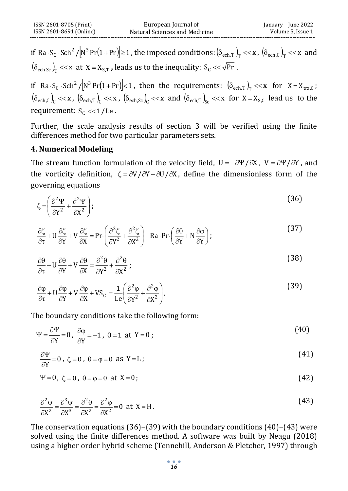if Ra $\cdot$  S<sub>c</sub>  $\cdot$  Sch $^2$  / $\left| N^3\Pr(1+\Pr)\right|\geq 1$  , the imposed conditions:  $\left( \delta_{\mathrm{ech},T}\right)_{\mathrm{T}}<<$  x ,  $\left( \delta_{\mathrm{ech},C}\right)_{\mathrm{T}}<<$  x and  $\left(\delta_\text{ech,Sc}\right)_\text{T} << \text{x}$  at X = X<sub>S,T</sub> , leads us to the inequality: S<sub>C</sub> <<  $\sqrt{\text{Pr}}$  .

if  $Ra S_c$ .  $Sch^2/[\text{N}^3 \text{Pr}(1+\text{Pr})] < 1$ , then the requirements:  $(\delta_{ech,T})_T << x$  for  $X = X_{trz,C}$ ;  $(\delta_{\text{ech},C})_C \ll x$ ,  $(\delta_{\text{ech},T})_C \ll x$ ,  $(\delta_{\text{ech},Sc})_C \ll x$  and  $(\delta_{\text{ech},T})_{Sc} \ll x$  for  $X = X_{S,C}$  lead us to the requirement:  $S_c \ll 1/Le$ .

Further, the scale analysis results of section 3 will be verified using the finite differences method for two particular parameters sets.

# **4. Numerical Modeling**

The stream function formulation of the velocity field,  $U = -\partial \Psi / \partial X$ ,  $V = \partial \Psi / \partial Y$ , and the vorticity definition,  $\zeta = \partial V/\partial Y - \partial U/\partial X$ , define the dimensionless form of the governing equations

$$
\zeta = \left(\frac{\partial^2 \Psi}{\partial Y^2} + \frac{\partial^2 \Psi}{\partial X^2}\right);
$$
\n(36)

$$
\frac{\partial \zeta}{\partial \tau} + U \frac{\partial \zeta}{\partial Y} + V \frac{\partial \zeta}{\partial X} = \text{Pr} \left( \frac{\partial^2 \zeta}{\partial Y^2} + \frac{\partial^2 \zeta}{\partial X^2} \right) + \text{Ra} \cdot \text{Pr} \left( \frac{\partial \theta}{\partial Y} + N \frac{\partial \varphi}{\partial Y} \right);
$$
(37)

$$
\frac{\partial \theta}{\partial \tau} + U \frac{\partial \theta}{\partial Y} + V \frac{\partial \theta}{\partial X} = \frac{\partial^2 \theta}{\partial Y^2} + \frac{\partial^2 \theta}{\partial X^2};
$$
\n(38)

$$
\frac{\partial \varphi}{\partial \tau} + U \frac{\partial \varphi}{\partial Y} + V \frac{\partial \varphi}{\partial X} + VS_C = \frac{1}{\text{Le}} \left( \frac{\partial^2 \varphi}{\partial Y^2} + \frac{\partial^2 \varphi}{\partial X^2} \right). \tag{39}
$$

The boundary conditions take the following form:

$$
\Psi = \frac{\partial \Psi}{\partial Y} = 0, \ \frac{\partial \varphi}{\partial Y} = -1, \ \theta = 1 \ \text{at} \ Y = 0 \tag{40}
$$

$$
\frac{\partial \Psi}{\partial Y} = 0, \ \zeta = 0, \ \theta = \varphi = 0 \text{ as } Y = L \ ; \tag{41}
$$

$$
\Psi = 0, \ \zeta = 0, \ \theta = \varphi = 0 \ \text{at} \ X = 0;
$$
 (42)

$$
\frac{\partial^2 \psi}{\partial X^2} = \frac{\partial^3 \psi}{\partial X^3} = \frac{\partial^2 \theta}{\partial X^2} = \frac{\partial^2 \phi}{\partial X^2} = 0 \text{ at } X = H.
$$
 (43)

The conservation equations (36)−(39) with the boundary conditions (40)−(43) were solved using the finite differences method. A software was built by Neagu (2018) using a higher order hybrid scheme (Tennehill, Anderson & Pletcher, 1997) through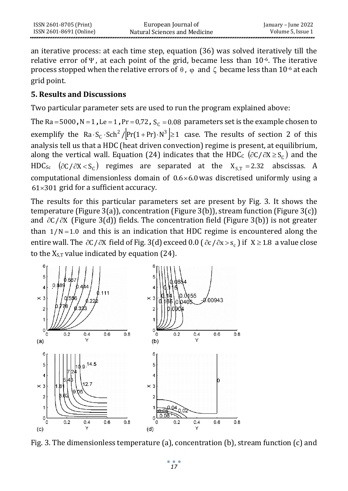an iterative process: at each time step, equation (36) was solved iteratively till the relative error of  $\Psi$ , at each point of the grid, became less than 10<sup>-6</sup>. The iterative process stopped when the relative errors of  $\theta$  ,  $\varphi$  and  $\zeta$  became less than 10<sup>-6</sup> at each grid point.

### **5. Results and Discussions**

Two particular parameter sets are used to run the program explained above:

The  $Ra = 5000$ ,  $N = 1$ ,  $Le = 1$ ,  $Pr = 0.72$ ,  $S_C = 0.08$  parameters set is the example chosen to exemplify the Ra $\cdot$ S<sub>C</sub> $\cdot$ Sch<sup>2</sup>/ $\left[Pr(1+Pr)\cdot N^3\right] \geq 1$  case. The results of section 2 of this analysis tell us that a HDC (heat driven convection) regime is present, at equilibrium, along the vertical wall. Equation (24) indicates that the HDC<sub>c</sub> ( $\partial$ C/ $\partial$ X $\geq$ S<sub>c</sub>) and the HDC<sub>Sc</sub> ( $\partial$ C/ $\partial$ X < S<sub>C</sub>) regimes are separated at the X<sub>S,T</sub> = 2.32 abscissas. A computational dimensionless domain of  $0.6 \times 6.0$  was discretised uniformly using a  $61\times301$  grid for a sufficient accuracy.

The results for this particular parameters set are present by Fig. 3. It shows the temperature (Figure 3(a)), concentration (Figure 3(b)), stream function (Figure 3(c)) and  $\partial C/\partial X$  (Figure 3(d)) fields. The concentration field (Figure 3(b)) is not greater than  $1/N = 1.0$  and this is an indication that HDC regime is encountered along the entire wall. The  $\partial C/\partial X$  field of Fig. 3(d) exceed 0.0 ( $\partial c/\partial x>s_c$ ) if  $X\geq 1.8$  a value close to the  $X_{S,T}$  value indicated by equation (24).



Fig. 3. The dimensionless temperature (a), concentration (b), stream function (c) and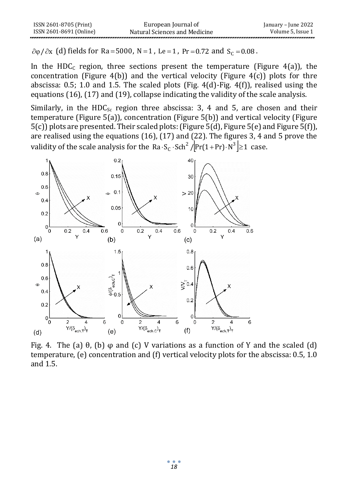| ISSN 2601-8705 (Print)  | European Journal of           | January – June 2022 |
|-------------------------|-------------------------------|---------------------|
| ISSN 2601-8691 (Online) | Natural Sciences and Medicine | Volume 5. Issue 1   |
|                         |                               |                     |

(d) fields for Ra=5000, N=1, Le=1, Pr=0.72 and  $S_c = 0.08$ .

In the HDC<sub>c</sub> region, three sections present the temperature (Figure 4(a)), the concentration (Figure 4(b)) and the vertical velocity (Figure 4(c)) plots for thre abscissa: 0.5; 1.0 and 1.5. The scaled plots (Fig. 4(d)-Fig. 4(f)), realised using the equations (16), (17) and (19), collapse indicating the validity of the scale analysis.

Similarly, in the HDC<sub>Sc</sub> region three abscissa: 3, 4 and 5, are chosen and their temperature (Figure 5(a)), concentration (Figure 5(b)) and vertical velocity (Figure 5(c)) plots are presented. Their scaled plots: (Figure 5(d), Figure 5(e) and Figure 5(f)), are realised using the equations (16), (17) and (22). The figures 3, 4 and 5 prove the validity of the scale analysis for the Ra $\cdot$ S<sub>c</sub> $\cdot$ Sch<sup>2</sup> / $\left[\Pr(1+Pr)\cdot N^3\right]\geq 1$  case.



Fig. 4. The (a)  $\theta$ , (b)  $\varphi$  and (c) V variations as a function of Y and the scaled (d) temperature, (e) concentration and (f) vertical velocity plots for the abscissa: 0.5, 1.0 and 1.5.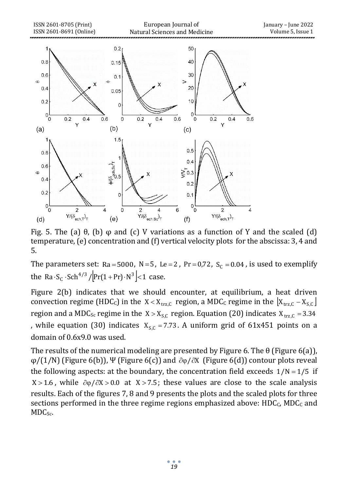

Fig. 5. The (a)  $\theta$ , (b)  $\varphi$  and (c) V variations as a function of Y and the scaled (d) temperature, (e) concentration and (f) vertical velocity plots for the abscissa: 3, 4 and 5.

The parameters set: Ra=5000, N=5, Le=2, Pr=0,72,  $S_C = 0.04$ , is used to exemplify the Ra $\cdot$ S<sub>C</sub> $\cdot$ Sch<sup>4/3</sup>/ $\left[\Pr(1+Pr)\cdot N^3\right]$  < 1 case.

Figure 2(b) indicates that we should encounter, at equilibrium, a heat driven convection regime (HDC<sub>C</sub>) in the  $X < X_{trz,C}$  region, a MDC<sub>C</sub> regime in the  $\left[ X_{trz,C} - X_{S,C} \right]$ region and a MDC<sub>Sc</sub> regime in the  $X > X_{S,C}$  region. Equation (20) indicates  $X_{trz,C} = 3.34$ , while equation (30) indicates  $X_{s,c} = 7.73$ . A uniform grid of 61x451 points on a domain of 0.6x9.0 was used.

The results of the numerical modeling are presented by Figure 6. The  $\theta$  (Figure 6(a)),  $\varphi/(1/N)$  (Figure 6(b)), Ψ (Figure 6(c)) and  $\partial \varphi/\partial X$  (Figure 6(d)) contour plots reveal the following aspects: at the boundary, the concentration field exceeds  $1/N = 1/5$  if  $X > 1.6$ , while  $\partial \varphi / \partial X > 0.0$  at  $X > 7.5$ ; these values are close to the scale analysis results. Each of the figures 7, 8 and 9 presents the plots and the scaled plots for three sections performed in the three regime regions emphasized above:  $HDC_C$ ,  $MDC_C$  and MDC<sub>Sc</sub>.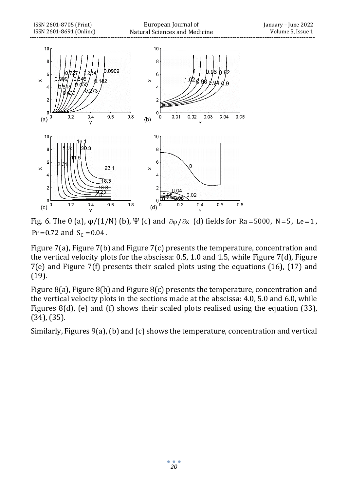

Fig. 6. The  $\theta$  (a),  $\phi/(1/N)$  (b),  $\Psi$  (c) and  $\partial \phi / \partial x$  (d) fields for Ra=5000, N=5, Le=1, Pr = 0.72 and  $S_C = 0.04$ .

Figure 7(a), Figure 7(b) and Figure 7(c) presents the temperature, concentration and the vertical velocity plots for the abscissa: 0.5, 1.0 and 1.5, while Figure 7(d), Figure 7(e) and Figure 7(f) presents their scaled plots using the equations (16), (17) and (19).

Figure 8(a), Figure 8(b) and Figure 8(c) presents the temperature, concentration and the vertical velocity plots in the sections made at the abscissa: 4.0, 5.0 and 6.0, while Figures 8(d), (e) and (f) shows their scaled plots realised using the equation (33), (34), (35).

Similarly, Figures 9(a), (b) and (c) shows the temperature, concentration and vertical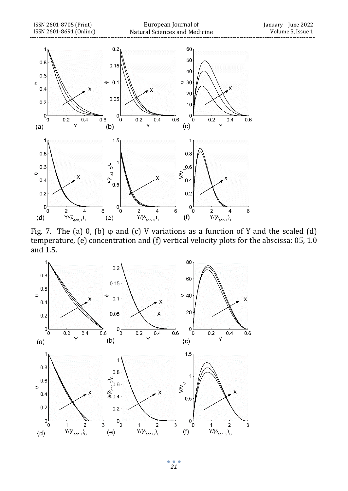

Fig. 7. The (a)  $\theta$ , (b)  $\varphi$  and (c) V variations as a function of Y and the scaled (d) temperature, (e) concentration and (f) vertical velocity plots for the abscissa: 05, 1.0 and 1.5.



¢ *21*

ó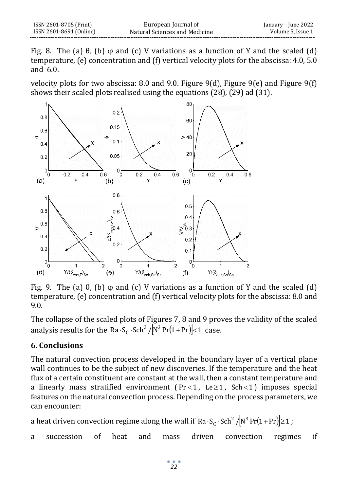Fig. 8. The (a)  $\theta$ , (b)  $\varphi$  and (c) V variations as a function of Y and the scaled (d) temperature, (e) concentration and (f) vertical velocity plots for the abscissa: 4.0, 5.0 and 6.0.

velocity plots for two abscissa: 8.0 and 9.0. Figure 9(d), Figure 9(e) and Figure 9(f) shows their scaled plots realised using the equations (28), (29) ad (31).



Fig. 9. The (a)  $\theta$ , (b)  $\varphi$  and (c) V variations as a function of Y and the scaled (d) temperature, (e) concentration and (f) vertical velocity plots for the abscissa: 8.0 and 9.0.

The collapse of the scaled plots of Figures 7, 8 and 9 proves the validity of the scaled analysis results for the Ra $\cdot S_c \cdot$ Sch<sup>2</sup> / $\left| N^3 Pr(1+Pr) \right| < 1$  case.

# **6. Conclusions**

The natural convection process developed in the boundary layer of a vertical plane wall continues to be the subject of new discoveries. If the temperature and the heat flux of a certain constituent are constant at the wall, then a constant temperature and a linearly mass stratified environment ( $Pr < 1$ ,  $Le \ge 1$ ,  $Sch < 1$ ) imposes special features on the natural convection process. Depending on the process parameters, we can encounter:

a heat driven convection regime along the wall if Ra $\cdot$  S<sub>c</sub>  $\cdot$  Sch $^2$  / $\left[\!\!\left(N^3\Pr(1+\Pr)\right]\!\!\right]\geq 1$  ;

a succession of heat and mass driven convection regimes if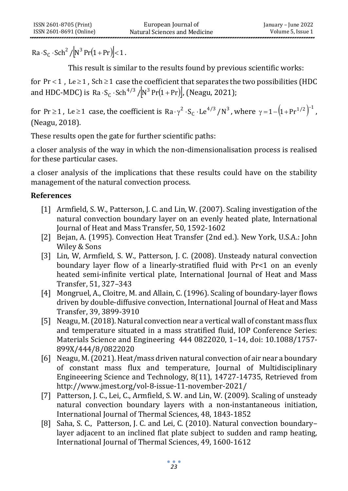$\cdot$  S<sub>C</sub>  $\cdot$  Sch<sup>2</sup> /  $[N^3 Pr(1+Pr)]$  < 1.

This result is similar to the results found by previous scientific works:

for Pr < 1, Le  $\geq$  1, Sch  $\geq$  1 case the coefficient that separates the two possibilities (HDC and HDC-MDC) is Ra $\cdot$ S<sub>C</sub> $\cdot$ Sch $^{4/3}$  / $\left[\mathrm{N}^3\Pr(1+\mathrm{Pr})\right]$ , (Neagu, 2021);

for Pr  $\geq$  1, Le  $\geq$  1 case, the coefficient is Ra  $\gamma^2 \cdot S_C \cdot Le^{4/3}/N^3$ , where  $\gamma = 1 - (1 + Pr^{1/2})^{-1}$ , (Neagu, 2018).

These results open the gate for further scientific paths:

a closer analysis of the way in which the non-dimensionalisation process is realised for these particular cases.

a closer analysis of the implications that these results could have on the stability management of the natural convection process.

# **References**

- [1] Armfield, S. W., Patterson, J. C. and Lin, W. (2007). Scaling investigation of the natural convection boundary layer on an evenly heated plate, International Journal of Heat and Mass Transfer, 50, 1592-1602
- [2] Bejan, A. (1995). Convection Heat Transfer (2nd ed.). New York, U.S.A.: John Wiley & Sons
- [3] Lin, W, Armfield, S. W., Patterson, J. C. (2008). Unsteady natural convection boundary layer flow of a linearly-stratified fluid with Pr<1 on an evenly heated semi-infinite vertical plate, International Journal of Heat and Mass Transfer, 51, 327–343
- [4] Mongruel, A., Cloitre, M. and Allain, C. (1996). Scaling of boundary-layer flows driven by double-diffusive convection, International Journal of Heat and Mass Transfer, 39, 3899-3910
- [5] Neagu, M. (2018). Natural convection near a vertical wall of constant mass flux and temperature situated in a mass stratified fluid, IOP Conference Series: Materials Science and Engineering 444 0822020, 1–14, doi: 10.1088/1757- 899X/444/8/0822020
- Ra  $S_c \cdot \text{Sch}^2/[N^3 \Pr(1 + \text{Pr})] < 1$ .<br>
This result is similar to the resul<br>
for  $\Pr < 1$ ,  $\text{Le } 21$ ,  $\text{Sch } 21$  case the coefficien<br>
and HDC-MDC) is  $\text{Ra} \cdot \text{Sc} \cdot \text{Sch}^{4/3}/[N^3 \Pr(1 + \text{Pr}^3)]$ <br>
for  $\text{Pr} \ge 1$ ,  $\text{Le } 21$  c [6] Neagu, M. (2021). Heat/mass driven natural convection of air near a boundary of constant mass flux and temperature, Journal of Multidisciplinary Engineeering Science and Technology, 8(11), 14727-14735, Retrieved from http://www.jmest.org/vol-8-issue-11-november-2021/
	- [7] Patterson, J. C., Lei, C., Armfield, S. W. and Lin, W. (2009). Scaling of unsteady natural convection boundary layers with a non-instantaneous initiation, International Journal of Thermal Sciences, 48, 1843-1852
	- [8] Saha, S. C., Patterson, J. C. and Lei, C. (2010). Natural convection boundary– layer adjacent to an inclined flat plate subject to sudden and ramp heating, International Journal of Thermal Sciences, 49, 1600-1612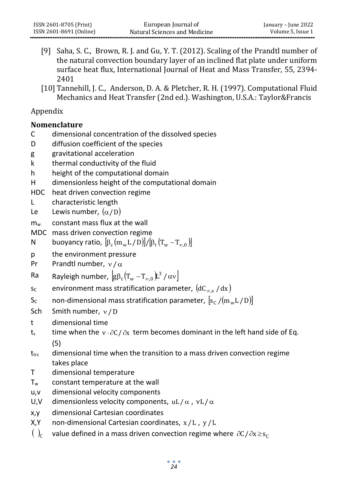- [9] Saha, S. C., Brown, R. J. and Gu, Y. T. (2012). Scaling of the Prandtl number of the natural convection boundary layer of an inclined flat plate under uniform surface heat flux, International Journal of Heat and Mass Transfer, 55, 2394- 2401
- [10] Tannehill, J. C., Anderson, D. A. & Pletcher, R. H. (1997). Computational Fluid Mechanics and Heat Transfer (2nd ed.). Washington, U.S.A.: Taylor&Francis

# Appendix

# **Nomenclature**

- C dimensional concentration of the dissolved species
- D diffusion coefficient of the species
- g gravitational acceleration
- k thermal conductivity of the fluid
- h height of the computational domain
- H dimensionless height of the computational domain
- HDC heat driven convection regime
- L characteristic length
- Le Lewis number,  $(\alpha/D)$
- m<sup>w</sup> constant mass flux at the wall
- MDC mass driven convection regime

$$
N \qquad \text{buoyancy ratio, } [\beta_c(m_wL/D)]/[\beta_t(T_w-T_{\infty,0})]
$$

- p the environment pressure
- Pr Prandtl number,  $v/\alpha$

$$
\text{Ra} \qquad \text{Rayleigh number, } \left[g\beta_t\big(T_w - T_{\infty,0}\big)L^3 / \alpha \nu\right]
$$

- s<sub>c</sub> environment mass stratification parameter,  $(\text{dC}_{\infty,\text{x}}$  /  $\text{d}\text{x})$
- S<sub>c</sub> non-dimensional mass stratification parameter,  $\left[s_{\rm C}/\rm{(m_wL/D)}\right]$
- Sch Smith number,  $v/D$
- t dimensional time
- t<sub>s</sub> time when the  $v \cdot \partial C / \partial x$  term becomes dominant in the left hand side of Eq. (5)
- $t_{trz}$  dimensional time when the transition to a mass driven convection regime takes place
- T dimensional temperature
- T<sup>w</sup> constant temperature at the wall
- u,v dimensional velocity components
- U,V dimensionless velocity components, uL/ $\alpha$ , vL/ $\alpha$
- x,y dimensional Cartesian coordinates
- X,Y non-dimensional Cartesian coordinates, <sup>x</sup> /L , y /L
- $\left( \right)$ <sub>c</sub> value defined in a mass driven convection regime where  $\partial C/\partial x \ge s_C$